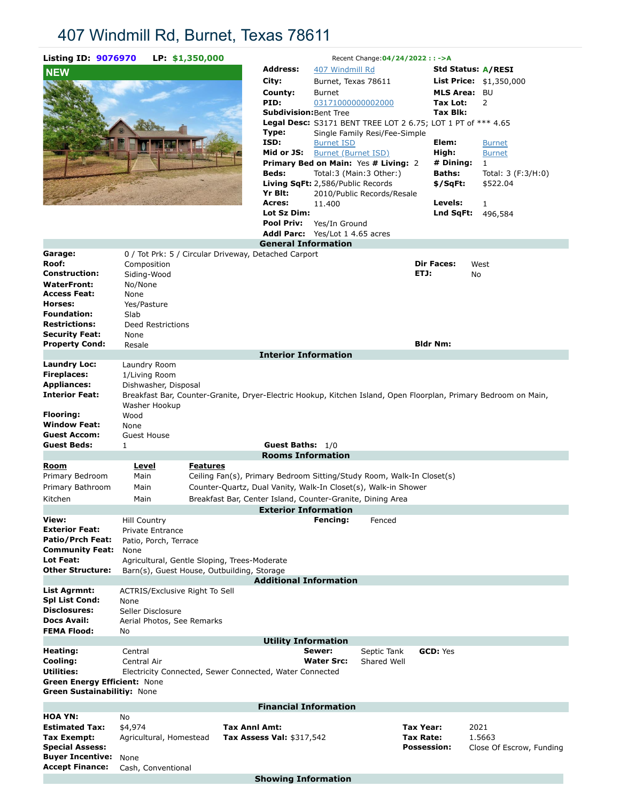# 407 Windmill Rd, Burnet, Texas 78611

| <b>Listing ID: 9076970</b>                                         |                                                 | LP: \$1,350,000 |                                                                                                                 |                         | Recent Change: 04/24/2022 : : - > A         |                                                              |                                 |
|--------------------------------------------------------------------|-------------------------------------------------|-----------------|-----------------------------------------------------------------------------------------------------------------|-------------------------|---------------------------------------------|--------------------------------------------------------------|---------------------------------|
| <b>NEW</b>                                                         |                                                 |                 | <b>Address:</b>                                                                                                 | 407 Windmill Rd         |                                             |                                                              | Std Status: A/RESI              |
|                                                                    |                                                 |                 | City:                                                                                                           | Burnet, Texas 78611     |                                             |                                                              | <b>List Price:</b> $$1,350,000$ |
|                                                                    |                                                 |                 | County:                                                                                                         | <b>Burnet</b>           |                                             | MLS Area: BU                                                 |                                 |
|                                                                    |                                                 |                 | PID:<br><b>Subdivision:</b> Bent Tree                                                                           | 03171000000002000       |                                             | Tax Lot:<br>Tax Blk:                                         | 2                               |
|                                                                    |                                                 |                 |                                                                                                                 |                         |                                             | Legal Desc: S3171 BENT TREE LOT 2 6.75; LOT 1 PT of *** 4.65 |                                 |
|                                                                    |                                                 |                 | Type:                                                                                                           |                         | Single Family Resi/Fee-Simple               |                                                              |                                 |
|                                                                    |                                                 |                 | ISD:                                                                                                            | <b>Burnet ISD</b>       |                                             | Elem:                                                        | <b>Burnet</b>                   |
|                                                                    |                                                 |                 | Mid or JS:                                                                                                      | Burnet (Burnet ISD)     |                                             | High:                                                        | <b>Burnet</b>                   |
|                                                                    |                                                 |                 |                                                                                                                 |                         | <b>Primary Bed on Main: Yes # Living: 2</b> | # Dining:                                                    | $\mathbf{1}$                    |
|                                                                    |                                                 |                 | <b>Beds:</b>                                                                                                    | Total:3 (Main:3 Other:) |                                             | Baths:                                                       | Total: $3(F:3/H:0)$             |
|                                                                    |                                                 |                 | <b>Living SqFt:</b> 2,586/Public Records<br>Yr Blt:                                                             |                         |                                             | \$/SqFt:                                                     | \$522.04                        |
|                                                                    |                                                 |                 | Acres:                                                                                                          | 11.400                  | 2010/Public Records/Resale                  | Levels:                                                      | $\mathbf{1}$                    |
|                                                                    |                                                 |                 | Lot Sz Dim:                                                                                                     |                         |                                             | Lnd SqFt:                                                    | 496,584                         |
|                                                                    |                                                 |                 | <b>Pool Priv:</b>                                                                                               | Yes/In Ground           |                                             |                                                              |                                 |
|                                                                    |                                                 |                 | Addl Parc: Yes/Lot 1 4.65 acres                                                                                 |                         |                                             |                                                              |                                 |
|                                                                    |                                                 |                 | <b>General Information</b>                                                                                      |                         |                                             |                                                              |                                 |
| Garage:                                                            |                                                 |                 | 0 / Tot Prk: 5 / Circular Driveway, Detached Carport                                                            |                         |                                             |                                                              |                                 |
| Roof:<br><b>Construction:</b>                                      | Composition                                     |                 |                                                                                                                 |                         |                                             | <b>Dir Faces:</b><br>ETJ:                                    | West                            |
| <b>WaterFront:</b>                                                 | Siding-Wood<br>No/None                          |                 |                                                                                                                 |                         |                                             |                                                              | No                              |
| Access Feat:                                                       | None                                            |                 |                                                                                                                 |                         |                                             |                                                              |                                 |
| Horses:                                                            | Yes/Pasture                                     |                 |                                                                                                                 |                         |                                             |                                                              |                                 |
| <b>Foundation:</b>                                                 | Slab                                            |                 |                                                                                                                 |                         |                                             |                                                              |                                 |
| <b>Restrictions:</b>                                               | Deed Restrictions                               |                 |                                                                                                                 |                         |                                             |                                                              |                                 |
| <b>Security Feat:</b>                                              | None                                            |                 |                                                                                                                 |                         |                                             |                                                              |                                 |
| <b>Property Cond:</b>                                              | Resale                                          |                 | <b>Interior Information</b>                                                                                     |                         |                                             | <b>Bldr Nm:</b>                                              |                                 |
| <b>Laundry Loc:</b>                                                | Laundry Room                                    |                 |                                                                                                                 |                         |                                             |                                                              |                                 |
| <b>Fireplaces:</b>                                                 | 1/Living Room                                   |                 |                                                                                                                 |                         |                                             |                                                              |                                 |
| <b>Appliances:</b>                                                 | Dishwasher, Disposal                            |                 |                                                                                                                 |                         |                                             |                                                              |                                 |
| <b>Interior Feat:</b>                                              |                                                 |                 | Breakfast Bar, Counter-Granite, Dryer-Electric Hookup, Kitchen Island, Open Floorplan, Primary Bedroom on Main, |                         |                                             |                                                              |                                 |
|                                                                    | Washer Hookup                                   |                 |                                                                                                                 |                         |                                             |                                                              |                                 |
| Flooring:                                                          | Wood                                            |                 |                                                                                                                 |                         |                                             |                                                              |                                 |
| <b>Window Feat:</b>                                                | None                                            |                 |                                                                                                                 |                         |                                             |                                                              |                                 |
| <b>Guest Accom:</b><br><b>Guest Beds:</b>                          | <b>Guest House</b><br>1                         |                 | Guest Baths: 1/0                                                                                                |                         |                                             |                                                              |                                 |
|                                                                    |                                                 |                 | <b>Rooms Information</b>                                                                                        |                         |                                             |                                                              |                                 |
| <u>Room</u>                                                        | <u>Level</u>                                    | <b>Features</b> |                                                                                                                 |                         |                                             |                                                              |                                 |
| Primary Bedroom                                                    | Main                                            |                 | Ceiling Fan(s), Primary Bedroom Sitting/Study Room, Walk-In Closet(s)                                           |                         |                                             |                                                              |                                 |
| Primary Bathroom                                                   | Main                                            |                 | Counter-Quartz, Dual Vanity, Walk-In Closet(s), Walk-in Shower                                                  |                         |                                             |                                                              |                                 |
| Kitchen                                                            | Main                                            |                 | Breakfast Bar, Center Island, Counter-Granite, Dining Area                                                      |                         |                                             |                                                              |                                 |
|                                                                    |                                                 |                 | <b>Exterior Information</b>                                                                                     |                         |                                             |                                                              |                                 |
| View:                                                              | <b>Hill Country</b>                             |                 |                                                                                                                 | Fencing:                | Fenced                                      |                                                              |                                 |
| <b>Exterior Feat:</b><br>Patio/Prch Feat:                          | Private Entrance                                |                 |                                                                                                                 |                         |                                             |                                                              |                                 |
| <b>Community Feat:</b>                                             | Patio, Porch, Terrace<br>None                   |                 |                                                                                                                 |                         |                                             |                                                              |                                 |
| Lot Feat:                                                          |                                                 |                 | Agricultural, Gentle Sloping, Trees-Moderate                                                                    |                         |                                             |                                                              |                                 |
| Other Structure:                                                   |                                                 |                 | Barn(s), Guest House, Outbuilding, Storage                                                                      |                         |                                             |                                                              |                                 |
|                                                                    |                                                 |                 | <b>Additional Information</b>                                                                                   |                         |                                             |                                                              |                                 |
| List Agrmnt:                                                       | <b>ACTRIS/Exclusive Right To Sell</b>           |                 |                                                                                                                 |                         |                                             |                                                              |                                 |
| <b>Spl List Cond:</b><br>Disclosures:                              | None                                            |                 |                                                                                                                 |                         |                                             |                                                              |                                 |
| Docs Avail:                                                        | Seller Disclosure<br>Aerial Photos, See Remarks |                 |                                                                                                                 |                         |                                             |                                                              |                                 |
| <b>FEMA Flood:</b>                                                 | No                                              |                 |                                                                                                                 |                         |                                             |                                                              |                                 |
|                                                                    |                                                 |                 | <b>Utility Information</b>                                                                                      |                         |                                             |                                                              |                                 |
| Heating:                                                           | Central                                         |                 |                                                                                                                 | Sewer:                  | Septic Tank                                 | <b>GCD: Yes</b>                                              |                                 |
| Cooling:                                                           | Central Air                                     |                 |                                                                                                                 | <b>Water Src:</b>       | Shared Well                                 |                                                              |                                 |
| Utilities:                                                         |                                                 |                 | Electricity Connected, Sewer Connected, Water Connected                                                         |                         |                                             |                                                              |                                 |
| Green Energy Efficient: None<br><b>Green Sustainabilitiy: None</b> |                                                 |                 |                                                                                                                 |                         |                                             |                                                              |                                 |
|                                                                    |                                                 |                 |                                                                                                                 |                         |                                             |                                                              |                                 |
| <b>HOA YN:</b>                                                     | No                                              |                 | <b>Financial Information</b>                                                                                    |                         |                                             |                                                              |                                 |
| <b>Estimated Tax:</b>                                              | \$4,974                                         |                 | <b>Tax Anni Amt:</b>                                                                                            |                         |                                             | <b>Tax Year:</b>                                             | 2021                            |
| Tax Exempt:                                                        | Agricultural, Homestead                         |                 | Tax Assess Val: \$317,542                                                                                       |                         |                                             | Tax Rate:                                                    | 1.5663                          |
| <b>Special Assess:</b>                                             |                                                 |                 |                                                                                                                 |                         |                                             | <b>Possession:</b>                                           | Close Of Escrow, Funding        |
| <b>Buyer Incentive:</b>                                            | None                                            |                 |                                                                                                                 |                         |                                             |                                                              |                                 |
| <b>Accept Finance:</b>                                             | Cash, Conventional                              |                 |                                                                                                                 |                         |                                             |                                                              |                                 |

**Showing Information**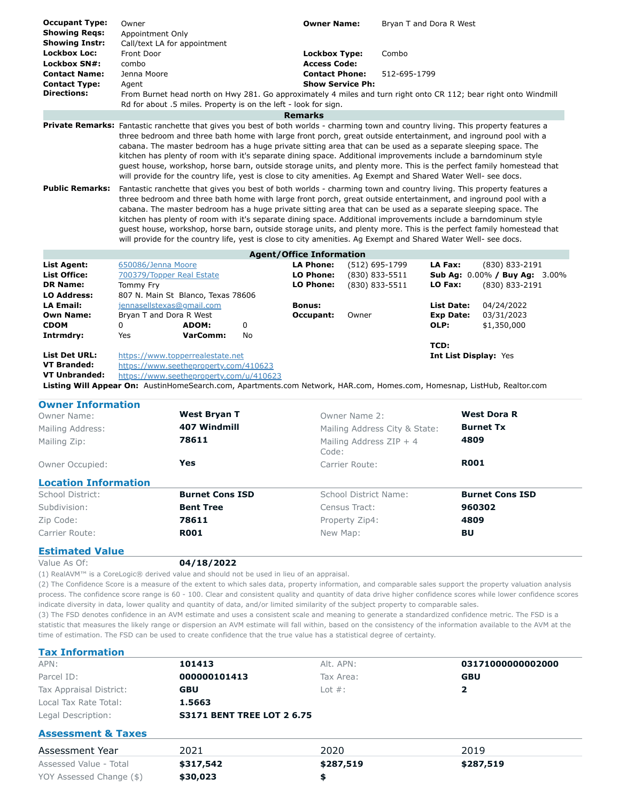| <b>Occupant Type:</b>                                                                                                                | Owner                                                                                                          |                 |           | <b>Owner Name:</b>              |                |                | Bryan T and Dora R West |                                                                                                                      |
|--------------------------------------------------------------------------------------------------------------------------------------|----------------------------------------------------------------------------------------------------------------|-----------------|-----------|---------------------------------|----------------|----------------|-------------------------|----------------------------------------------------------------------------------------------------------------------|
| <b>Showing Regs:</b>                                                                                                                 | Appointment Only                                                                                               |                 |           |                                 |                |                |                         |                                                                                                                      |
| <b>Showing Instr:</b>                                                                                                                | Call/text LA for appointment                                                                                   |                 |           |                                 |                |                |                         |                                                                                                                      |
| <b>Lockbox Loc:</b>                                                                                                                  | Front Door                                                                                                     |                 |           | <b>Lockbox Type:</b>            |                | Combo          |                         |                                                                                                                      |
| Lockbox SN#:                                                                                                                         | combo                                                                                                          |                 |           | <b>Access Code:</b>             |                |                |                         |                                                                                                                      |
| <b>Contact Name:</b>                                                                                                                 | Jenna Moore                                                                                                    |                 |           | <b>Contact Phone:</b>           |                | 512-695-1799   |                         |                                                                                                                      |
| <b>Contact Type:</b>                                                                                                                 | Agent                                                                                                          |                 |           | <b>Show Service Ph:</b>         |                |                |                         |                                                                                                                      |
| <b>Directions:</b>                                                                                                                   |                                                                                                                |                 |           |                                 |                |                |                         | From Burnet head north on Hwy 281. Go approximately 4 miles and turn right onto CR 112; bear right onto Windmill     |
|                                                                                                                                      | Rd for about .5 miles. Property is on the left - look for sign.                                                |                 |           |                                 |                |                |                         |                                                                                                                      |
|                                                                                                                                      |                                                                                                                |                 |           | <b>Remarks</b>                  |                |                |                         |                                                                                                                      |
| Private Remarks: Fantastic ranchette that gives you best of both worlds - charming town and country living. This property features a |                                                                                                                |                 |           |                                 |                |                |                         |                                                                                                                      |
|                                                                                                                                      |                                                                                                                |                 |           |                                 |                |                |                         | three bedroom and three bath home with large front porch, great outside entertainment, and inground pool with a      |
|                                                                                                                                      |                                                                                                                |                 |           |                                 |                |                |                         | cabana. The master bedroom has a huge private sitting area that can be used as a separate sleeping space. The        |
|                                                                                                                                      |                                                                                                                |                 |           |                                 |                |                |                         | kitchen has plenty of room with it's separate dining space. Additional improvements include a barndominum style      |
|                                                                                                                                      |                                                                                                                |                 |           |                                 |                |                |                         | quest house, workshop, horse barn, outside storage units, and plenty more. This is the perfect family homestead that |
|                                                                                                                                      | will provide for the country life, yest is close to city amenities. Ag Exempt and Shared Water Well- see docs. |                 |           |                                 |                |                |                         |                                                                                                                      |
| <b>Public Remarks:</b>                                                                                                               |                                                                                                                |                 |           |                                 |                |                |                         | Fantastic ranchette that gives you best of both worlds - charming town and country living. This property features a  |
|                                                                                                                                      |                                                                                                                |                 |           |                                 |                |                |                         | three bedroom and three bath home with large front porch, great outside entertainment, and inground pool with a      |
|                                                                                                                                      |                                                                                                                |                 |           |                                 |                |                |                         | cabana. The master bedroom has a huge private sitting area that can be used as a separate sleeping space. The        |
|                                                                                                                                      |                                                                                                                |                 |           |                                 |                |                |                         | kitchen has plenty of room with it's separate dining space. Additional improvements include a barndominum style      |
|                                                                                                                                      |                                                                                                                |                 |           |                                 |                |                |                         | guest house, workshop, horse barn, outside storage units, and plenty more. This is the perfect family homestead that |
|                                                                                                                                      | will provide for the country life, yest is close to city amenities. Ag Exempt and Shared Water Well- see docs. |                 |           |                                 |                |                |                         |                                                                                                                      |
|                                                                                                                                      |                                                                                                                |                 |           | <b>Agent/Office Information</b> |                |                |                         |                                                                                                                      |
| <b>List Agent:</b>                                                                                                                   | 650086/Jenna Moore                                                                                             |                 |           | <b>LA Phone:</b>                |                | (512) 695-1799 | LA Fax:                 | (830) 833-2191                                                                                                       |
| <b>List Office:</b>                                                                                                                  | 700379/Topper Real Estate                                                                                      |                 |           | <b>LO Phone:</b>                |                | (830) 833-5511 |                         | Sub Ag: 0.00% / Buy Ag: 3.00%                                                                                        |
| <b>DR Name:</b>                                                                                                                      | Tommy Fry                                                                                                      |                 |           | LO Phone:                       | (830) 833-5511 |                | LO Fax:                 | (830) 833-2191                                                                                                       |
| <b>LO Address:</b>                                                                                                                   | 807 N. Main St Blanco, Texas 78606                                                                             |                 |           |                                 |                |                |                         |                                                                                                                      |
| <b>LA Email:</b>                                                                                                                     | jennasellstexas@gmail.com                                                                                      |                 |           | <b>Bonus:</b>                   |                |                | List Date:              | 04/24/2022                                                                                                           |
| <b>Own Name:</b>                                                                                                                     | Bryan T and Dora R West                                                                                        |                 |           | Occupant:                       | Owner          |                | <b>Exp Date:</b>        | 03/31/2023                                                                                                           |
| <b>CDOM</b>                                                                                                                          | $\Omega$                                                                                                       | ADOM:           | $\Omega$  |                                 |                |                | OLP:                    | \$1,350,000                                                                                                          |
| Intrmdry:                                                                                                                            | Yes                                                                                                            | <b>VarComm:</b> | <b>No</b> |                                 |                |                |                         |                                                                                                                      |
|                                                                                                                                      |                                                                                                                |                 |           |                                 |                |                | TCD:                    |                                                                                                                      |
| <b>List Det URL:</b>                                                                                                                 | https://www.topperrealestate.net                                                                               |                 |           |                                 |                |                | Int List Display: Yes   |                                                                                                                      |
| <b>VT Branded:</b>                                                                                                                   | https://www.seetheproperty.com/410623                                                                          |                 |           |                                 |                |                |                         |                                                                                                                      |
| <b>VT Unbranded:</b>                                                                                                                 | https://www.seetheproperty.com/u/410623                                                                        |                 |           |                                 |                |                |                         |                                                                                                                      |
| Listing Will Appear On: AustinHomeSearch.com, Apartments.com Network, HAR.com, Homes.com, Homesnap, ListHub, Realtor.com             |                                                                                                                |                 |           |                                 |                |                |                         |                                                                                                                      |
| <b>Owner Information</b>                                                                                                             |                                                                                                                |                 |           |                                 |                |                |                         |                                                                                                                      |

| <b>UWHEI THIOHIIALION</b>   |                        |                                    |                        |  |
|-----------------------------|------------------------|------------------------------------|------------------------|--|
| Owner Name:                 | <b>West Bryan T</b>    | Owner Name 2:                      | <b>West Dora R</b>     |  |
| Mailing Address:            | 407 Windmill           | Mailing Address City & State:      | <b>Burnet Tx</b>       |  |
| Mailing Zip:                | 78611                  | Mailing Address $ZIP + 4$<br>Code: | 4809                   |  |
| Owner Occupied:             | Yes                    | Carrier Route:                     | <b>R001</b>            |  |
| <b>Location Information</b> |                        |                                    |                        |  |
| School District:            | <b>Burnet Cons ISD</b> | School District Name:              | <b>Burnet Cons ISD</b> |  |
| Subdivision:                | <b>Bent Tree</b>       | Census Tract:                      | 960302                 |  |
| Zip Code:                   | 78611                  | Property Zip4:                     | 4809                   |  |
| Carrier Route:              | <b>ROO1</b>            | New Map:                           | BU                     |  |
| ________                    |                        |                                    |                        |  |

#### **Estimated Value**

Value As Of: **04/18/2022**

(1) RealAVM™ is a CoreLogic® derived value and should not be used in lieu of an appraisal.

(2) The Confidence Score is a measure of the extent to which sales data, property information, and comparable sales support the property valuation analysis process. The confidence score range is 60 - 100. Clear and consistent quality and quantity of data drive higher confidence scores while lower confidence scores indicate diversity in data, lower quality and quantity of data, and/or limited similarity of the subject property to comparable sales.

(3) The FSD denotes confidence in an AVM estimate and uses a consistent scale and meaning to generate a standardized confidence metric. The FSD is a statistic that measures the likely range or dispersion an AVM estimate will fall within, based on the consistency of the information available to the AVM at the time of estimation. The FSD can be used to create confidence that the true value has a statistical degree of certainty.

| <b>Tax Information</b> |  |
|------------------------|--|
|                        |  |

| APN:                    | 101413                            | Alt. APN:  | 03171000000002000 |
|-------------------------|-----------------------------------|------------|-------------------|
| Parcel ID:              | 000000101413                      | Tax Area:  | <b>GBU</b>        |
| Tax Appraisal District: | <b>GBU</b>                        | Lot $\#$ : |                   |
| Local Tax Rate Total:   | 1.5663                            |            |                   |
| Legal Description:      | <b>S3171 BENT TREE LOT 2 6.75</b> |            |                   |
|                         |                                   |            |                   |

## **Assessment & Taxes**

| Assessment Year          | 2021      | 2020      | 2019      |  |
|--------------------------|-----------|-----------|-----------|--|
| Assessed Value - Total   | \$317,542 | \$287,519 | \$287,519 |  |
| YOY Assessed Change (\$) | \$30,023  |           |           |  |